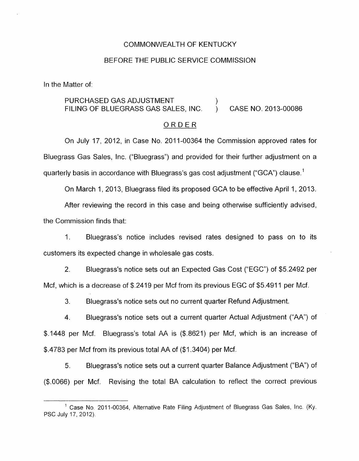### COMMONWEALTH OF KENTUCKY

#### BEFORE THE PUBLIC SERVICE COMMISSION

In the Matter of:

# PURCHASED GAS ADJUSTMENT ) FILING OF BLUEGRASS GAS SALES, INC. ) CASE NO. 2013-00086

#### ORDER

On July 17, 2012, in Case No. 2011-00364 the Commission approved rates for Bluegrass Gas Sales, Inc. ("Bluegrass") and provided for their further adjustment on a quarterly basis in accordance with Bluegrass's gas cost adjustment ("GCA") clause.'

On March 1, 2013, Bluegrass filed its proposed GCA to be effective April 1 **I** 2013.

After reviewing the record in this case and being otherwise sufficiently advised, the Commission finds that:

1. Bluegrass's notice includes revised rates designed to pass on to its customers its expected change in wholesale gas costs.

2. Bluegrass's notice sets out an Expected Gas Cost ("EGC") of \$5.2492 per Mcf, which is a decrease of \$.2419 per Mcf from its previous EGC of \$5.4911 per Mcf.

3. Bluegrass's notice sets out no current quarter Refund Adjustment.

4. Bluegrass's notice sets out a current quarter Actual Adjustment ("AA") of \$.I448 per Mcf. Bluegrass's total AA is (\$.8621) per Mcf, which is an increase of \$.4783 per Mcf from its previous total AA of (\$1.3404) per Mcf.

*5.* Bluegrass's notice sets out a current quarter Balance Adjustment ("BA") of (\$.0066) per Mcf. Revising the total BA calculation to reflect the correct previous

<sup>&</sup>lt;sup>1</sup> Case No. 2011-00364, Alternative Rate Filing Adjustment of Bluegrass Gas Sales, Inc. (Ky. PSC July 17, 2012).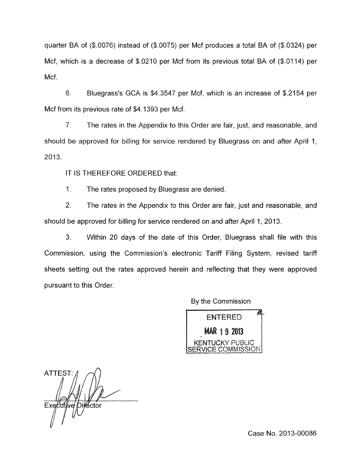quarter BA of (\$.0076) instead of (\$.0075) per Mcf produces a total BA of (\$.0324) per Mcf, which is a decrease of  $$.0210$  per Mcf from its previous total BA of  $$.0114$ ) per Mcf.

6. Bluegrass's GCA is \$4.3547 per Mcf, which is an increase of \$2154 per Mcf from its previous rate of \$4.1393 per Mcf.

7. The rates in the Appendix to this Order are fair, just, and reasonable, and should be approved for hilling for service rendered by Bluegrass on and after April 1, 2013.

IT IS THEREFORE ORDERED that:

1. The rates proposed by Bluegrass are denied.

2. The rates in the Appendix to this Order are fair, just and reasonable, and should be approved for billing for service rendered on and after April 1, 2013.

3. Within 20 days of the date of this Order, Bluegrass shall file with this Commission, using the Commission's electronic Tariff Filing System, revised tariff sheets setting out the rates approved herein and reflecting that they were approved pursuant to this Order,

By the Commission

*c*  **ENTERED** MAR 1.9 2013 **TUCKY PUBLIC** S ERVl *C* E *C 0* M **WI** I SS I *0* li.i

**ATTEST** Dilڎctor Executive

Case No. 2013-00086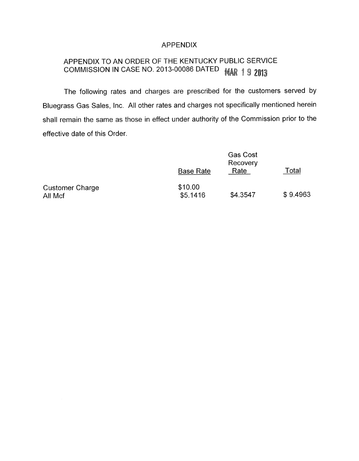## APPENDIX

#### APPENDIX TO AN ORDER OF THE KENTUCKY PUBLIC SERVICE COMMISSION IN CASE NO. 2013-00086 DATED **MAR 19 2013**

The following rates and charges are prescribed for the customers served by Bluegrass Gas Sales, Inc. All other rates and charges not specifically mentioned herein shall remain the same as those in effect under authority of the Commission prior to the effective date of this Order.

|                                   | <b>Base Rate</b>    | <b>Gas Cost</b><br>Recovery<br>Rate | Total    |
|-----------------------------------|---------------------|-------------------------------------|----------|
| <b>Customer Charge</b><br>All Mcf | \$10.00<br>\$5.1416 | \$4.3547                            | \$9.4963 |